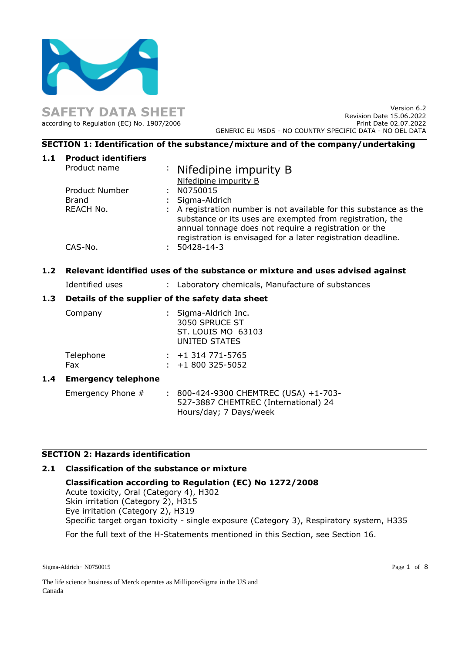

**SAFETY DATA SHEET** according to Regulation (EC) No. 1907/2006

Version 6.2 Revision Date 15.06.2022 Print Date 02.07.2022 GENERIC EU MSDS - NO COUNTRY SPECIFIC DATA - NO OEL DATA

# **SECTION 1: Identification of the substance/mixture and of the company/undertaking**

| 1.1 | <b>Product identifiers</b> |                                                                                                                                                                                          |
|-----|----------------------------|------------------------------------------------------------------------------------------------------------------------------------------------------------------------------------------|
|     | Product name               | : Nifedipine impurity B                                                                                                                                                                  |
|     |                            | Nifedipine impurity B                                                                                                                                                                    |
|     | Product Number             | N0750015                                                                                                                                                                                 |
|     | Brand                      | : Sigma-Aldrich                                                                                                                                                                          |
|     | REACH No.                  | : A registration number is not available for this substance as the<br>substance or its uses are exempted from registration, the<br>annual tonnage does not require a registration or the |
|     |                            | registration is envisaged for a later registration deadline.                                                                                                                             |
|     | CAS-No.                    | $50428 - 14 - 3$                                                                                                                                                                         |
|     |                            |                                                                                                                                                                                          |

# **1.2 Relevant identified uses of the substance or mixture and uses advised against**

Identified uses : Laboratory chemicals, Manufacture of substances

## **1.3 Details of the supplier of the safety data sheet**

|     | Company                    | : Sigma-Aldrich Inc.<br>3050 SPRUCE ST<br>ST. LOUIS MO 63103<br><b>UNITED STATES</b> |
|-----|----------------------------|--------------------------------------------------------------------------------------|
|     | Telephone<br>Fax           | $: +1314771 - 5765$<br>$\div$ +1 800 325-5052                                        |
| 1.4 | <b>Emergency telephone</b> |                                                                                      |
|     | Emergency Phone #          | : 800-424-9300 CHEMTREC (USA) +1-703-<br>527-3887 CHEMTREC (International) 24        |

# **SECTION 2: Hazards identification**

#### **2.1 Classification of the substance or mixture**

**Classification according to Regulation (EC) No 1272/2008** Acute toxicity, Oral (Category 4), H302 Skin irritation (Category 2), H315 Eye irritation (Category 2), H319

Hours/day; 7 Days/week

Specific target organ toxicity - single exposure (Category 3), Respiratory system, H335

For the full text of the H-Statements mentioned in this Section, see Section 16.

Sigma-Aldrich- N0750015 Page 1 of 8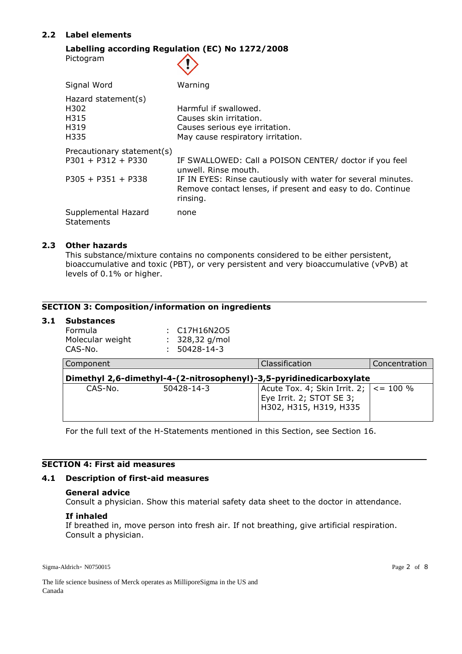# **2.2 Label elements**

#### **Labelling according Regulation (EC) No 1272/2008** Pictogram  $\left\langle \mathbf{1} \right\rangle$

| Signal Word                                                                | Warning                                                                                                                                                                                                                  |
|----------------------------------------------------------------------------|--------------------------------------------------------------------------------------------------------------------------------------------------------------------------------------------------------------------------|
| Hazard statement(s)<br>H302<br>H315<br>H319<br>H335                        | Harmful if swallowed.<br>Causes skin irritation.<br>Causes serious eye irritation.<br>May cause respiratory irritation.                                                                                                  |
| Precautionary statement(s)<br>$P301 + P312 + P330$<br>$P305 + P351 + P338$ | IF SWALLOWED: Call a POISON CENTER/ doctor if you feel<br>unwell. Rinse mouth.<br>IF IN EYES: Rinse cautiously with water for several minutes.<br>Remove contact lenses, if present and easy to do. Continue<br>rinsing. |
| Supplemental Hazard<br><b>Statements</b>                                   | none                                                                                                                                                                                                                     |

# **2.3 Other hazards**

This substance/mixture contains no components considered to be either persistent, bioaccumulative and toxic (PBT), or very persistent and very bioaccumulative (vPvB) at levels of 0.1% or higher.

# **SECTION 3: Composition/information on ingredients**

#### **3.1 Substances**

| Formula<br>Molecular weight<br>CAS-No.                              | C17H16N2O5<br>328,32 g/mol<br>50428-14-3 |                                                                                      |                |  |  |
|---------------------------------------------------------------------|------------------------------------------|--------------------------------------------------------------------------------------|----------------|--|--|
| Component                                                           |                                          | Classification                                                                       | Concentration  |  |  |
| Dimethyl 2,6-dimethyl-4-(2-nitrosophenyl)-3,5-pyridinedicarboxylate |                                          |                                                                                      |                |  |  |
| CAS-No.                                                             | 50428-14-3                               | Acute Tox. 4; Skin Irrit. 2;  <br>Eye Irrit. 2; STOT SE 3;<br>H302, H315, H319, H335 | $\leq$ = 100 % |  |  |

For the full text of the H-Statements mentioned in this Section, see Section 16.

# **SECTION 4: First aid measures**

## **4.1 Description of first-aid measures**

#### **General advice**

Consult a physician. Show this material safety data sheet to the doctor in attendance.

#### **If inhaled**

If breathed in, move person into fresh air. If not breathing, give artificial respiration. Consult a physician.

Sigma-Aldrich- N0750015 Page 2 of 8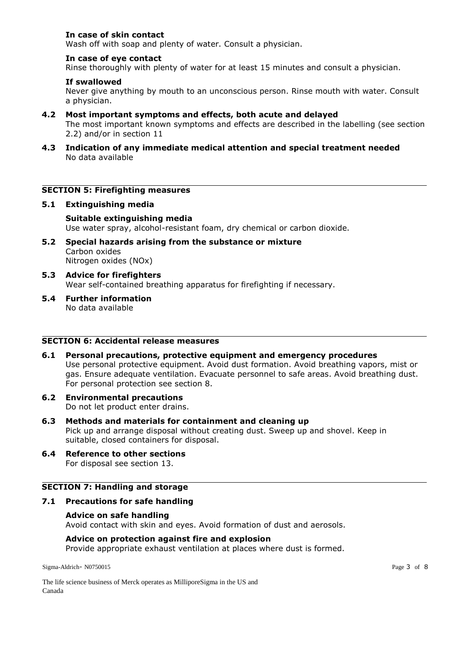# **In case of skin contact**

Wash off with soap and plenty of water. Consult a physician.

## **In case of eye contact**

Rinse thoroughly with plenty of water for at least 15 minutes and consult a physician.

## **If swallowed**

Never give anything by mouth to an unconscious person. Rinse mouth with water. Consult a physician.

### **4.2 Most important symptoms and effects, both acute and delayed**

The most important known symptoms and effects are described in the labelling (see section 2.2) and/or in section 11

**4.3 Indication of any immediate medical attention and special treatment needed** No data available

## **SECTION 5: Firefighting measures**

#### **5.1 Extinguishing media**

# **Suitable extinguishing media**

Use water spray, alcohol-resistant foam, dry chemical or carbon dioxide.

- **5.2 Special hazards arising from the substance or mixture** Carbon oxides Nitrogen oxides (NOx)
- **5.3 Advice for firefighters** Wear self-contained breathing apparatus for firefighting if necessary.
- **5.4 Further information** No data available

# **SECTION 6: Accidental release measures**

- **6.1 Personal precautions, protective equipment and emergency procedures** Use personal protective equipment. Avoid dust formation. Avoid breathing vapors, mist or gas. Ensure adequate ventilation. Evacuate personnel to safe areas. Avoid breathing dust. For personal protection see section 8.
- **6.2 Environmental precautions** Do not let product enter drains.

#### **6.3 Methods and materials for containment and cleaning up**

Pick up and arrange disposal without creating dust. Sweep up and shovel. Keep in suitable, closed containers for disposal.

**6.4 Reference to other sections** For disposal see section 13.

# **SECTION 7: Handling and storage**

#### **7.1 Precautions for safe handling**

### **Advice on safe handling**

Avoid contact with skin and eyes. Avoid formation of dust and aerosols.

#### **Advice on protection against fire and explosion**

Provide appropriate exhaust ventilation at places where dust is formed.

Sigma-Aldrich- N0750015 Page 3 of 8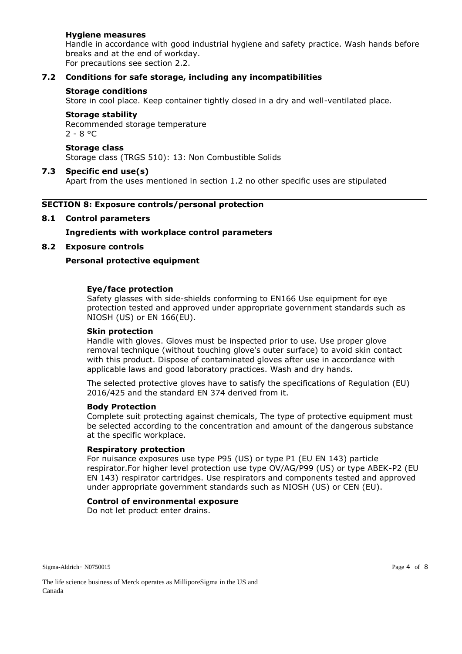# **Hygiene measures**

Handle in accordance with good industrial hygiene and safety practice. Wash hands before breaks and at the end of workday.

For precautions see section 2.2.

# **7.2 Conditions for safe storage, including any incompatibilities**

#### **Storage conditions**

Store in cool place. Keep container tightly closed in a dry and well-ventilated place.

## **Storage stability**

Recommended storage temperature  $2 - 8$  °C

# **Storage class**

Storage class (TRGS 510): 13: Non Combustible Solids

### **7.3 Specific end use(s)**

Apart from the uses mentioned in section 1.2 no other specific uses are stipulated

### **SECTION 8: Exposure controls/personal protection**

### **8.1 Control parameters**

**Ingredients with workplace control parameters**

### **8.2 Exposure controls**

### **Personal protective equipment**

#### **Eye/face protection**

Safety glasses with side-shields conforming to EN166 Use equipment for eye protection tested and approved under appropriate government standards such as NIOSH (US) or EN 166(EU).

#### **Skin protection**

Handle with gloves. Gloves must be inspected prior to use. Use proper glove removal technique (without touching glove's outer surface) to avoid skin contact with this product. Dispose of contaminated gloves after use in accordance with applicable laws and good laboratory practices. Wash and dry hands.

The selected protective gloves have to satisfy the specifications of Regulation (EU) 2016/425 and the standard EN 374 derived from it.

#### **Body Protection**

Complete suit protecting against chemicals, The type of protective equipment must be selected according to the concentration and amount of the dangerous substance at the specific workplace.

#### **Respiratory protection**

For nuisance exposures use type P95 (US) or type P1 (EU EN 143) particle respirator.For higher level protection use type OV/AG/P99 (US) or type ABEK-P2 (EU EN 143) respirator cartridges. Use respirators and components tested and approved under appropriate government standards such as NIOSH (US) or CEN (EU).

### **Control of environmental exposure**

Do not let product enter drains.

Sigma-Aldrich- N0750015 Page 4 of 8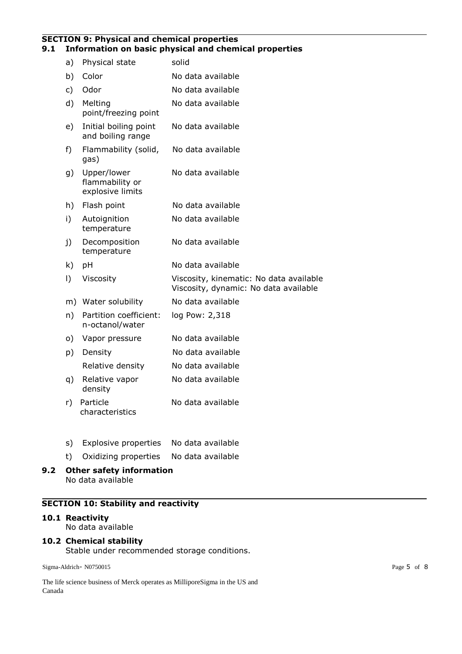#### **SECTION 9: Physical and chemical properties 9.1 Information on basic physical and chemical properties**

| a)        | Physical state                                     | solid                                                                            |
|-----------|----------------------------------------------------|----------------------------------------------------------------------------------|
| b)        | Color                                              | No data available                                                                |
| c)        | Odor                                               | No data available                                                                |
| d)        | Melting<br>point/freezing point                    | No data available                                                                |
| e)        | Initial boiling point<br>and boiling range         | No data available                                                                |
| f)        | Flammability (solid,<br>gas)                       | No data available                                                                |
| g)        | Upper/lower<br>flammability or<br>explosive limits | No data available                                                                |
| h)        | Flash point                                        | No data available                                                                |
| i)        | Autoignition<br>temperature                        | No data available                                                                |
| j)        | Decomposition<br>temperature                       | No data available                                                                |
| k)        | pH                                                 | No data available                                                                |
| $\vert$ ) | Viscosity                                          | Viscosity, kinematic: No data available<br>Viscosity, dynamic: No data available |
| m)        | Water solubility                                   | No data available                                                                |
| n)        | Partition coefficient:<br>n-octanol/water          | log Pow: 2,318                                                                   |
| o)        | Vapor pressure                                     | No data available                                                                |
| p)        | Density                                            | No data available                                                                |
|           | Relative density                                   | No data available                                                                |
| q)        | Relative vapor<br>density                          | No data available                                                                |
| r)        | Particle<br>characteristics                        | No data available                                                                |
|           |                                                    |                                                                                  |

- s) Explosive properties No data available
- t) Oxidizing properties No data available
- **9.2 Other safety information** No data available

# **SECTION 10: Stability and reactivity**

# **10.1 Reactivity**

No data available

#### **10.2 Chemical stability** Stable under recommended storage conditions.

Sigma-Aldrich- N0750015 Page 5 of 8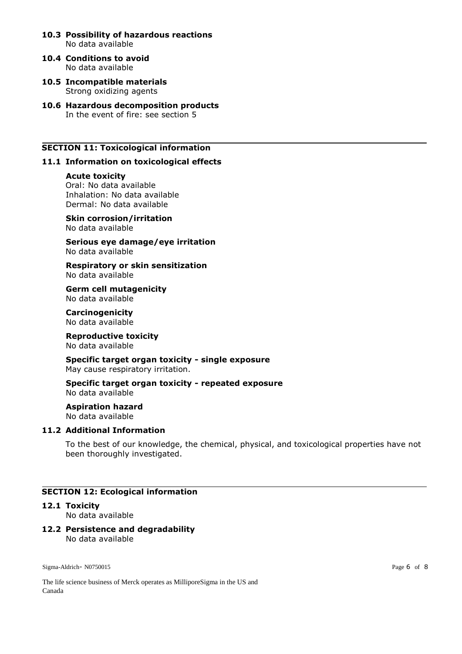- **10.3 Possibility of hazardous reactions** No data available
- **10.4 Conditions to avoid** No data available
- **10.5 Incompatible materials** Strong oxidizing agents
- **10.6 Hazardous decomposition products** In the event of fire: see section 5

# **SECTION 11: Toxicological information**

#### **11.1 Information on toxicological effects**

#### **Acute toxicity**

Oral: No data available Inhalation: No data available Dermal: No data available

**Skin corrosion/irritation** No data available

**Serious eye damage/eye irritation** No data available

**Respiratory or skin sensitization** No data available

**Germ cell mutagenicity** No data available

**Carcinogenicity** No data available

**Reproductive toxicity** No data available

**Specific target organ toxicity - single exposure** May cause respiratory irritation.

**Specific target organ toxicity - repeated exposure** No data available

**Aspiration hazard** No data available

# **11.2 Additional Information**

To the best of our knowledge, the chemical, physical, and toxicological properties have not been thoroughly investigated.

# **SECTION 12: Ecological information**

#### **12.1 Toxicity**

No data available

#### **12.2 Persistence and degradability** No data available

Sigma-Aldrich- N0750015 Page 6 of 8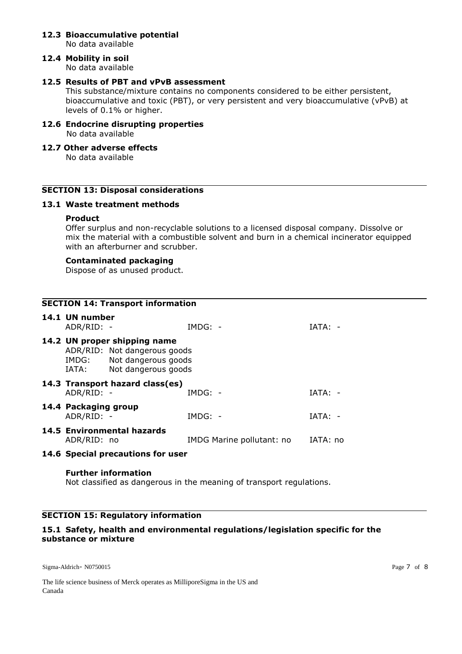# **12.3 Bioaccumulative potential**

No data available

# **12.4 Mobility in soil**

No data available

# **12.5 Results of PBT and vPvB assessment**

This substance/mixture contains no components considered to be either persistent, bioaccumulative and toxic (PBT), or very persistent and very bioaccumulative (vPvB) at levels of 0.1% or higher.

### **12.6 Endocrine disrupting properties** No data available

# **12.7 Other adverse effects**

No data available

# **SECTION 13: Disposal considerations**

# **13.1 Waste treatment methods**

# **Product**

Offer surplus and non-recyclable solutions to a licensed disposal company. Dissolve or mix the material with a combustible solvent and burn in a chemical incinerator equipped with an afterburner and scrubber.

# **Contaminated packaging**

Dispose of as unused product.

| <b>SECTION 14: Transport information</b> |                                    |                                                                                                                        |                           |           |
|------------------------------------------|------------------------------------|------------------------------------------------------------------------------------------------------------------------|---------------------------|-----------|
|                                          | 14.1 UN number<br>ADR/RID: -       |                                                                                                                        | $IMDG: -$                 | $IATA: -$ |
|                                          |                                    | 14.2 UN proper shipping name<br>ADR/RID: Not dangerous goods<br>IMDG: Not dangerous goods<br>IATA: Not dangerous goods |                           |           |
|                                          | ADR/RID: -                         | 14.3 Transport hazard class(es)                                                                                        | $IMDG: -$                 | $IATA: -$ |
|                                          | 14.4 Packaging group<br>ADR/RID: - |                                                                                                                        | $IMDG: -$                 | $IATA: -$ |
|                                          | ADR/RID: no                        | 14.5 Environmental hazards                                                                                             | IMDG Marine pollutant: no | IATA: no  |

# **14.6 Special precautions for user**

#### **Further information**

Not classified as dangerous in the meaning of transport regulations.

# **SECTION 15: Regulatory information**

# **15.1 Safety, health and environmental regulations/legislation specific for the substance or mixture**

Sigma-Aldrich- N0750015 Page 7 of 8